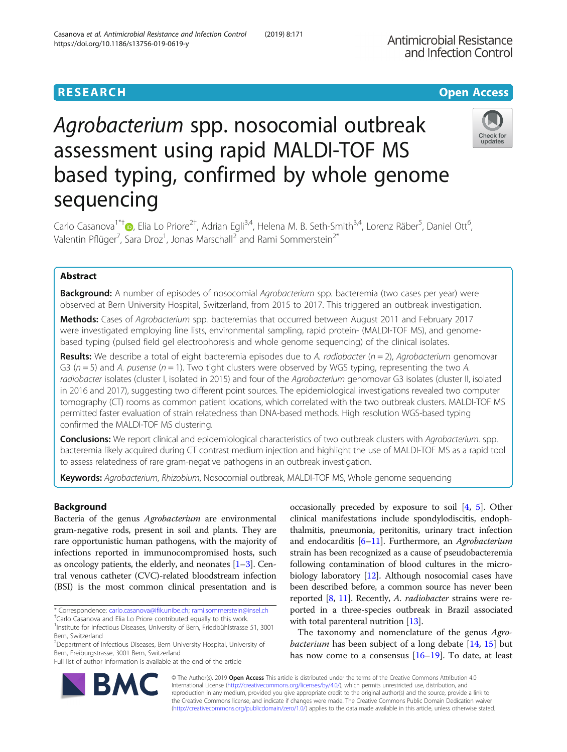# https://doi.org/10.1186/s13756-019-0619-y

Casanova et al. Antimicrobial Resistance and Infection Control (2019) 8:171

# Agrobacterium spp. nosocomial outbreak assessment using rapid MALDI-TOF MS based typing, confirmed by whole genome sequencing

Carlo Casanova<sup>1\*[†](http://orcid.org/0000-0002-7888-6329)</sup>®, Elia Lo Priore<sup>2†</sup>, Adrian Egli<sup>3,4</sup>, Helena M. B. Seth-Smith<sup>3,4</sup>, Lorenz Räber<sup>5</sup>, Daniel Ott<sup>6</sup> , Valentin Pflüger<sup>7</sup>, Sara Droz<sup>1</sup>, Jonas Marschall<sup>2</sup> and Rami Sommerstein<sup>2\*</sup>

# Abstract

Background: A number of episodes of nosocomial Agrobacterium spp. bacteremia (two cases per year) were observed at Bern University Hospital, Switzerland, from 2015 to 2017. This triggered an outbreak investigation.

Methods: Cases of Agrobacterium spp. bacteremias that occurred between August 2011 and February 2017 were investigated employing line lists, environmental sampling, rapid protein- (MALDI-TOF MS), and genomebased typing (pulsed field gel electrophoresis and whole genome sequencing) of the clinical isolates.

**Results:** We describe a total of eight bacteremia episodes due to A. *radiobacter* ( $n = 2$ ), Agrobacterium genomovar G3 ( $n = 5$ ) and A. pusense ( $n = 1$ ). Two tight clusters were observed by WGS typing, representing the two A. radiobacter isolates (cluster I, isolated in 2015) and four of the Agrobacterium genomovar G3 isolates (cluster II, isolated in 2016 and 2017), suggesting two different point sources. The epidemiological investigations revealed two computer tomography (CT) rooms as common patient locations, which correlated with the two outbreak clusters. MALDI-TOF MS permitted faster evaluation of strain relatedness than DNA-based methods. High resolution WGS-based typing confirmed the MALDI-TOF MS clustering.

Conclusions: We report clinical and epidemiological characteristics of two outbreak clusters with Agrobacterium. spp. bacteremia likely acquired during CT contrast medium injection and highlight the use of MALDI-TOF MS as a rapid tool to assess relatedness of rare gram-negative pathogens in an outbreak investigation.

Keywords: Agrobacterium, Rhizobium, Nosocomial outbreak, MALDI-TOF MS, Whole genome sequencing

# Background

Bacteria of the genus Agrobacterium are environmental gram-negative rods, present in soil and plants. They are rare opportunistic human pathogens, with the majority of infections reported in immunocompromised hosts, such as oncology patients, the elderly, and neonates  $[1-3]$  $[1-3]$  $[1-3]$ . Central venous catheter (CVC)-related bloodstream infection (BSI) is the most common clinical presentation and is

\* Correspondence: [carlo.casanova@ifik.unibe.ch](mailto:carlo.casanova@ifik.unibe.ch); [rami.sommerstein@insel.ch](mailto:rami.sommerstein@insel.ch) †

Full list of author information is available at the end of the article

occasionally preceded by exposure to soil [\[4](#page-7-0), [5\]](#page-7-0). Other clinical manifestations include spondylodiscitis, endophthalmitis, pneumonia, peritonitis, urinary tract infection and endocarditis  $[6–11]$  $[6–11]$  $[6–11]$ . Furthermore, an Agrobacterium strain has been recognized as a cause of pseudobacteremia following contamination of blood cultures in the microbiology laboratory [[12](#page-7-0)]. Although nosocomial cases have been described before, a common source has never been reported  $[8, 11]$  $[8, 11]$  $[8, 11]$  $[8, 11]$ . Recently, A. *radiobacter* strains were reported in a three-species outbreak in Brazil associated with total parenteral nutrition [[13\]](#page-7-0).

The taxonomy and nomenclature of the genus Agrobacterium has been subject of a long debate [[14](#page-7-0), [15\]](#page-7-0) but has now come to a consensus [\[16](#page-7-0)–[19](#page-7-0)]. To date, at least

© The Author(s). 2019 Open Access This article is distributed under the terms of the Creative Commons Attribution 4.0 International License [\(http://creativecommons.org/licenses/by/4.0/](http://creativecommons.org/licenses/by/4.0/)), which permits unrestricted use, distribution, and reproduction in any medium, provided you give appropriate credit to the original author(s) and the source, provide a link to the Creative Commons license, and indicate if changes were made. The Creative Commons Public Domain Dedication waiver [\(http://creativecommons.org/publicdomain/zero/1.0/](http://creativecommons.org/publicdomain/zero/1.0/)) applies to the data made available in this article, unless otherwise stated.



Antimicrobial Resistance and Infection Control

Carlo Casanova and Elia Lo Priore contributed equally to this work.

<sup>&</sup>lt;sup>1</sup>Institute for Infectious Diseases, University of Bern, Friedbühlstrasse 51, 3001 Bern, Switzerland

<sup>&</sup>lt;sup>2</sup> Department of Infectious Diseases, Bern University Hospital, University of Bern, Freiburgstrasse, 3001 Bern, Switzerland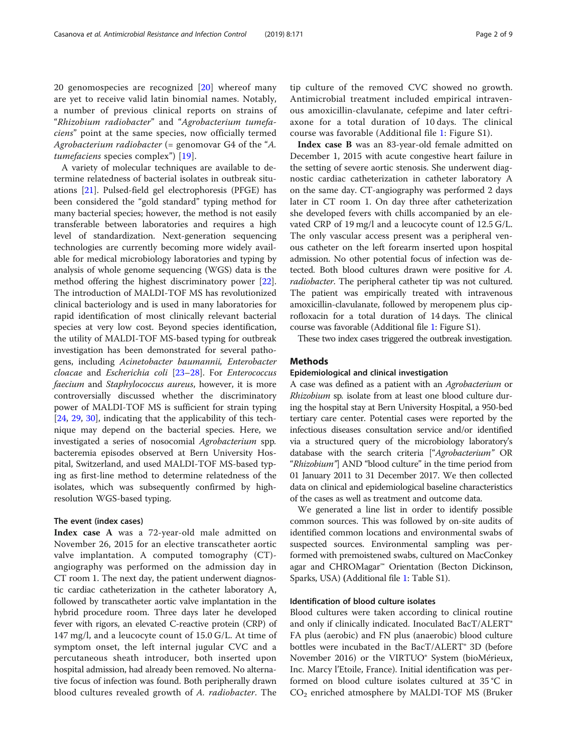20 genomospecies are recognized [[20](#page-7-0)] whereof many are yet to receive valid latin binomial names. Notably, a number of previous clinical reports on strains of "Rhizobium radiobacter" and "Agrobacterium tumefaciens" point at the same species, now officially termed Agrobacterium radiobacter (= genomovar G4 of the "A. tumefaciens species complex") [[19](#page-7-0)].

A variety of molecular techniques are available to determine relatedness of bacterial isolates in outbreak situations [[21\]](#page-7-0). Pulsed-field gel electrophoresis (PFGE) has been considered the "gold standard" typing method for many bacterial species; however, the method is not easily transferable between laboratories and requires a high level of standardization. Next-generation sequencing technologies are currently becoming more widely available for medical microbiology laboratories and typing by analysis of whole genome sequencing (WGS) data is the method offering the highest discriminatory power [\[22](#page-7-0)]. The introduction of MALDI-TOF MS has revolutionized clinical bacteriology and is used in many laboratories for rapid identification of most clinically relevant bacterial species at very low cost. Beyond species identification, the utility of MALDI-TOF MS-based typing for outbreak investigation has been demonstrated for several pathogens, including Acinetobacter baumannii, Enterobacter cloacae and Escherichia coli [\[23](#page-7-0)–[28\]](#page-8-0). For Enterococcus faecium and Staphylococcus aureus, however, it is more controversially discussed whether the discriminatory power of MALDI-TOF MS is sufficient for strain typing [[24,](#page-7-0) [29,](#page-8-0) [30](#page-8-0)], indicating that the applicability of this technique may depend on the bacterial species. Here, we investigated a series of nosocomial Agrobacterium spp. bacteremia episodes observed at Bern University Hospital, Switzerland, and used MALDI-TOF MS-based typing as first-line method to determine relatedness of the isolates, which was subsequently confirmed by highresolution WGS-based typing.

#### The event (index cases)

Index case A was a 72-year-old male admitted on November 26, 2015 for an elective transcatheter aortic valve implantation. A computed tomography (CT) angiography was performed on the admission day in CT room 1. The next day, the patient underwent diagnostic cardiac catheterization in the catheter laboratory A, followed by transcatheter aortic valve implantation in the hybrid procedure room. Three days later he developed fever with rigors, an elevated C-reactive protein (CRP) of 147 mg/l, and a leucocyte count of 15.0 G/L. At time of symptom onset, the left internal jugular CVC and a percutaneous sheath introducer, both inserted upon hospital admission, had already been removed. No alternative focus of infection was found. Both peripherally drawn blood cultures revealed growth of A. radiobacter. The tip culture of the removed CVC showed no growth. Antimicrobial treatment included empirical intravenous amoxicillin-clavulanate, cefepime and later ceftriaxone for a total duration of 10 days. The clinical course was favorable (Additional file [1:](#page-6-0) Figure S1).

Index case B was an 83-year-old female admitted on December 1, 2015 with acute congestive heart failure in the setting of severe aortic stenosis. She underwent diagnostic cardiac catheterization in catheter laboratory A on the same day. CT-angiography was performed 2 days later in CT room 1. On day three after catheterization she developed fevers with chills accompanied by an elevated CRP of 19 mg/l and a leucocyte count of 12.5 G/L. The only vascular access present was a peripheral venous catheter on the left forearm inserted upon hospital admission. No other potential focus of infection was detected. Both blood cultures drawn were positive for A. radiobacter. The peripheral catheter tip was not cultured. The patient was empirically treated with intravenous amoxicillin-clavulanate, followed by meropenem plus ciprofloxacin for a total duration of 14 days. The clinical course was favorable (Additional file [1](#page-6-0): Figure S1).

These two index cases triggered the outbreak investigation.

#### Methods

#### Epidemiological and clinical investigation

A case was defined as a patient with an Agrobacterium or Rhizobium sp. isolate from at least one blood culture during the hospital stay at Bern University Hospital, a 950-bed tertiary care center. Potential cases were reported by the infectious diseases consultation service and/or identified via a structured query of the microbiology laboratory's database with the search criteria ["Agrobacterium" OR "Rhizobium"] AND "blood culture" in the time period from 01 January 2011 to 31 December 2017. We then collected data on clinical and epidemiological baseline characteristics of the cases as well as treatment and outcome data.

We generated a line list in order to identify possible common sources. This was followed by on-site audits of identified common locations and environmental swabs of suspected sources. Environmental sampling was performed with premoistened swabs, cultured on MacConkey agar and CHROMagar™ Orientation (Becton Dickinson, Sparks, USA) (Additional file [1](#page-6-0): Table S1).

### Identification of blood culture isolates

Blood cultures were taken according to clinical routine and only if clinically indicated. Inoculated BacT/ALERT<sup>®</sup> FA plus (aerobic) and FN plus (anaerobic) blood culture bottles were incubated in the BacT/ALERT® 3D (before November 2016) or the VIRTUO® System (bioMérieux, Inc. Marcy l'Etoile, France). Initial identification was performed on blood culture isolates cultured at 35 °C in  $CO<sub>2</sub>$  enriched atmosphere by MALDI-TOF MS (Bruker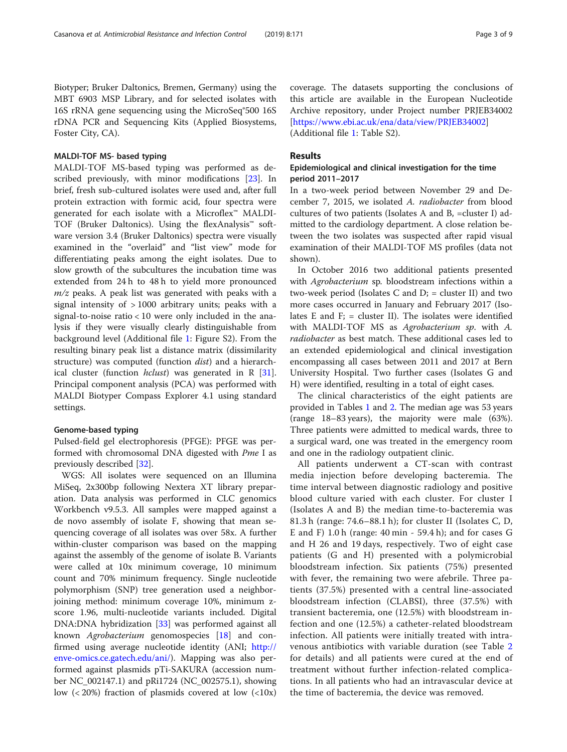Biotyper; Bruker Daltonics, Bremen, Germany) using the MBT 6903 MSP Library, and for selected isolates with 16S rRNA gene sequencing using the MicroSeq®500 16S rDNA PCR and Sequencing Kits (Applied Biosystems, Foster City, CA).

#### MALDI-TOF MS- based typing

MALDI-TOF MS-based typing was performed as described previously, with minor modifications [[23\]](#page-7-0). In brief, fresh sub-cultured isolates were used and, after full protein extraction with formic acid, four spectra were generated for each isolate with a Microflex™ MALDI-TOF (Bruker Daltonics). Using the flexAnalysis™ software version 3.4 (Bruker Daltonics) spectra were visually examined in the "overlaid" and "list view" mode for differentiating peaks among the eight isolates. Due to slow growth of the subcultures the incubation time was extended from 24 h to 48 h to yield more pronounced  $m/z$  peaks. A peak list was generated with peaks with a signal intensity of > 1000 arbitrary units; peaks with a signal-to-noise ratio < 10 were only included in the analysis if they were visually clearly distinguishable from background level (Additional file [1:](#page-6-0) Figure S2). From the resulting binary peak list a distance matrix (dissimilarity structure) was computed (function dist) and a hierarchical cluster (function hclust) was generated in R [\[31](#page-8-0)]. Principal component analysis (PCA) was performed with MALDI Biotyper Compass Explorer 4.1 using standard settings.

#### Genome-based typing

Pulsed-field gel electrophoresis (PFGE): PFGE was performed with chromosomal DNA digested with Pme I as previously described [\[32\]](#page-8-0).

WGS: All isolates were sequenced on an Illumina MiSeq, 2x300bp following Nextera XT library preparation. Data analysis was performed in CLC genomics Workbench v9.5.3. All samples were mapped against a de novo assembly of isolate F, showing that mean sequencing coverage of all isolates was over 58x. A further within-cluster comparison was based on the mapping against the assembly of the genome of isolate B. Variants were called at 10x minimum coverage, 10 minimum count and 70% minimum frequency. Single nucleotide polymorphism (SNP) tree generation used a neighborjoining method: minimum coverage 10%, minimum zscore 1.96, multi-nucleotide variants included. Digital DNA:DNA hybridization [[33](#page-8-0)] was performed against all known Agrobacterium genomospecies [\[18\]](#page-7-0) and confirmed using average nucleotide identity (ANI; [http://](http://enve-omics.ce.gatech.edu/ani/) [enve-omics.ce.gatech.edu/ani/](http://enve-omics.ce.gatech.edu/ani/)). Mapping was also performed against plasmids pTi-SAKURA (accession number NC\_002147.1) and pRi1724 (NC\_002575.1), showing low  $\left($  < 20%) fraction of plasmids covered at low  $\left($  < 10x) coverage. The datasets supporting the conclusions of this article are available in the European Nucleotide Archive repository, under Project number PRJEB34002 [<https://www.ebi.ac.uk/ena/data/view/PRJEB34002>] (Additional file [1](#page-6-0): Table S2).

# Results

## Epidemiological and clinical investigation for the time period 2011–2017

In a two-week period between November 29 and December 7, 2015, we isolated A. radiobacter from blood cultures of two patients (Isolates A and B, =cluster I) admitted to the cardiology department. A close relation between the two isolates was suspected after rapid visual examination of their MALDI-TOF MS profiles (data not shown).

In October 2016 two additional patients presented with Agrobacterium sp. bloodstream infections within a two-week period (Isolates C and  $D_i$  = cluster II) and two more cases occurred in January and February 2017 (Isolates E and  $F_i$  = cluster II). The isolates were identified with MALDI-TOF MS as Agrobacterium sp. with A. radiobacter as best match. These additional cases led to an extended epidemiological and clinical investigation encompassing all cases between 2011 and 2017 at Bern University Hospital. Two further cases (Isolates G and H) were identified, resulting in a total of eight cases.

The clinical characteristics of the eight patients are provided in Tables [1](#page-3-0) and [2.](#page-4-0) The median age was 53 years (range 18–83 years), the majority were male (63%). Three patients were admitted to medical wards, three to a surgical ward, one was treated in the emergency room and one in the radiology outpatient clinic.

All patients underwent a CT-scan with contrast media injection before developing bacteremia. The time interval between diagnostic radiology and positive blood culture varied with each cluster. For cluster I (Isolates A and B) the median time-to-bacteremia was 81.3 h (range: 74.6–88.1 h); for cluster II (Isolates C, D, E and F) 1.0 h (range: 40 min - 59.4 h); and for cases G and H 26 and 19 days, respectively. Two of eight case patients (G and H) presented with a polymicrobial bloodstream infection. Six patients (75%) presented with fever, the remaining two were afebrile. Three patients (37.5%) presented with a central line-associated bloodstream infection (CLABSI), three (37.5%) with transient bacteremia, one (12.5%) with bloodstream infection and one (12.5%) a catheter-related bloodstream infection. All patients were initially treated with intravenous antibiotics with variable duration (see Table [2](#page-4-0) for details) and all patients were cured at the end of treatment without further infection-related complications. In all patients who had an intravascular device at the time of bacteremia, the device was removed.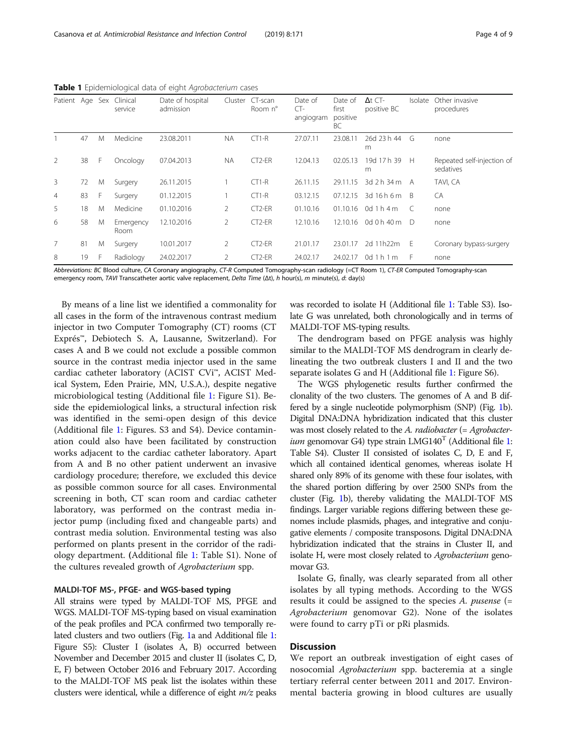| Patient Age Sex |    |    | Clinical<br>service | Date of hospital<br>admission | Cluster   | CT-scan<br>Room n°  | Date of<br>$CT-$<br>angiogram | Date of<br>first<br>positive<br>BC | $\Delta t$ CT-<br>positive BC | Isolate      | Other invasive<br>procedures            |
|-----------------|----|----|---------------------|-------------------------------|-----------|---------------------|-------------------------------|------------------------------------|-------------------------------|--------------|-----------------------------------------|
|                 | 47 | M  | Medicine            | 23.08.2011                    | <b>NA</b> | $CT1-R$             | 27.07.11                      | 23.08.11                           | 26d 23 h 44<br>m              | G            | none                                    |
| 2               | 38 | F. | Oncology            | 07.04.2013                    | <b>NA</b> | CT <sub>2</sub> -ER | 12.04.13                      | 02.05.13                           | 19d 17h 39<br>m               | $\mathsf{H}$ | Repeated self-injection of<br>sedatives |
| 3               | 72 | M  | Surgery             | 26.11.2015                    |           | $CT1-R$             | 26.11.15                      | 29.11.15                           | $3d$ 2 h 34 m A               |              | TAVI, CA                                |
| $\overline{4}$  | 83 | F. | Surgery             | 01.12.2015                    |           | $CT1-R$             | 03.12.15                      | 07.12.15                           | 3d 16 h 6 m B                 |              | CA                                      |
| 5               | 18 | M  | Medicine            | 01.10.2016                    | 2         | $CT2-ER$            | 01.10.16                      | 01.10.16                           | 0d 1 h 4 m                    | -C           | none                                    |
| 6               | 58 | M  | Emergency<br>Room   | 12.10.2016                    | 2         | CT <sub>2</sub> -ER | 12.10.16                      | 12.10.16                           | 0d 0 h 40 m                   | -D           | none                                    |
| $\overline{7}$  | 81 | M  | Surgery             | 10.01.2017                    | 2         | $CT2-FR$            | 21.01.17                      | 23.01.17                           | 2d 11h22m                     | - E          | Coronary bypass-surgery                 |
| 8               | 19 | F  | Radiology           | 24.02.2017                    | 2         | CT <sub>2</sub> -ER | 24.02.17                      | 24.02.17                           | 0d1h1m                        | - F          | none                                    |

<span id="page-3-0"></span>Table 1 Epidemiological data of eight Agrobacterium cases

Abbreviations: BC Blood culture, CA Coronary angiography, CT-R Computed Tomography-scan radiology (=CT Room 1), CT-ER Computed Tomography-scan emergency room, TAVI Transcatheter aortic valve replacement, Delta Time (Δt), h hour(s), m minute(s), d: day(s)

By means of a line list we identified a commonality for all cases in the form of the intravenous contrast medium injector in two Computer Tomography (CT) rooms (CT Exprés™, Debiotech S. A, Lausanne, Switzerland). For cases A and B we could not exclude a possible common source in the contrast media injector used in the same cardiac catheter laboratory (ACIST CVi™, ACIST Medical System, Eden Prairie, MN, U.S.A.), despite negative microbiological testing (Additional file [1:](#page-6-0) Figure S1). Beside the epidemiological links, a structural infection risk was identified in the semi-open design of this device (Additional file [1:](#page-6-0) Figures. S3 and S4). Device contamination could also have been facilitated by construction works adjacent to the cardiac catheter laboratory. Apart from A and B no other patient underwent an invasive cardiology procedure; therefore, we excluded this device as possible common source for all cases. Environmental screening in both, CT scan room and cardiac catheter laboratory, was performed on the contrast media injector pump (including fixed and changeable parts) and contrast media solution. Environmental testing was also performed on plants present in the corridor of the radiology department. (Additional file [1:](#page-6-0) Table S1). None of the cultures revealed growth of Agrobacterium spp.

#### MALDI-TOF MS-, PFGE- and WGS-based typing

All strains were typed by MALDI-TOF MS, PFGE and WGS. MALDI-TOF MS-typing based on visual examination of the peak profiles and PCA confirmed two temporally related clusters and two outliers (Fig. [1](#page-5-0)a and Additional file [1](#page-6-0): Figure S5): Cluster I (isolates A, B) occurred between November and December 2015 and cluster II (isolates C, D, E, F) between October 2016 and February 2017. According to the MALDI-TOF MS peak list the isolates within these clusters were identical, while a difference of eight  $m/z$  peaks was recorded to isolate H (Additional file [1:](#page-6-0) Table S3). Isolate G was unrelated, both chronologically and in terms of MALDI-TOF MS-typing results.

The dendrogram based on PFGE analysis was highly similar to the MALDI-TOF MS dendrogram in clearly delineating the two outbreak clusters I and II and the two separate isolates G and H (Additional file [1:](#page-6-0) Figure S6).

The WGS phylogenetic results further confirmed the clonality of the two clusters. The genomes of A and B differed by a single nucleotide polymorphism (SNP) (Fig. [1b](#page-5-0)). Digital DNA:DNA hybridization indicated that this cluster was most closely related to the A. radiobacter (= Agrobacter*ium* genomovar G4) type strain LMG[1](#page-6-0)40<sup>T</sup> (Additional file 1: Table S4). Cluster II consisted of isolates C, D, E and F, which all contained identical genomes, whereas isolate H shared only 89% of its genome with these four isolates, with the shared portion differing by over 2500 SNPs from the cluster (Fig. [1b](#page-5-0)), thereby validating the MALDI-TOF MS findings. Larger variable regions differing between these genomes include plasmids, phages, and integrative and conjugative elements / composite transposons. Digital DNA:DNA hybridization indicated that the strains in Cluster II, and isolate H, were most closely related to *Agrobacterium* genomovar G3.

Isolate G, finally, was clearly separated from all other isolates by all typing methods. According to the WGS results it could be assigned to the species  $A$ . pusense  $(=$ Agrobacterium genomovar G2). None of the isolates were found to carry pTi or pRi plasmids.

# **Discussion**

We report an outbreak investigation of eight cases of nosocomial Agrobacterium spp. bacteremia at a single tertiary referral center between 2011 and 2017. Environmental bacteria growing in blood cultures are usually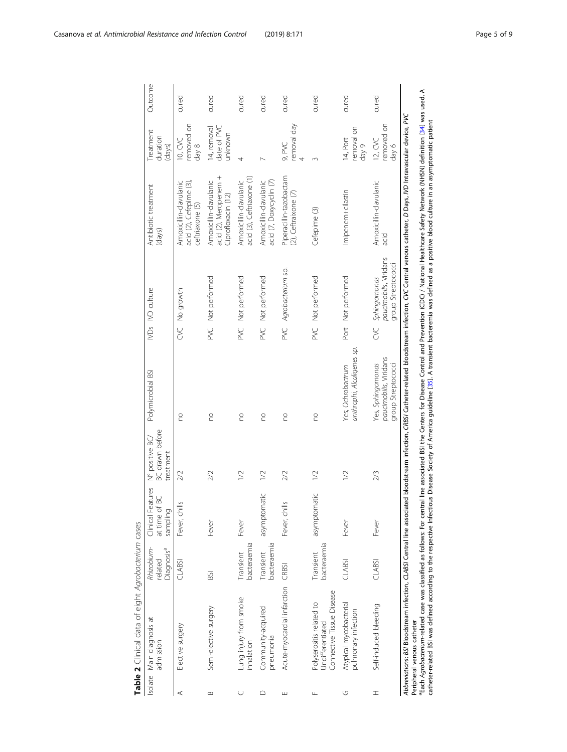<span id="page-4-0"></span>

|          | Table 2 Clinical data of eight Agrobacterium cases                                                                                                                                                                                                                                                                                                                                                                                                                                                                                                                                                                                                                                         |                                                 |                                                |                                                        |                                                                   |           |                                                              |                                                                            |                                         |         |
|----------|--------------------------------------------------------------------------------------------------------------------------------------------------------------------------------------------------------------------------------------------------------------------------------------------------------------------------------------------------------------------------------------------------------------------------------------------------------------------------------------------------------------------------------------------------------------------------------------------------------------------------------------------------------------------------------------------|-------------------------------------------------|------------------------------------------------|--------------------------------------------------------|-------------------------------------------------------------------|-----------|--------------------------------------------------------------|----------------------------------------------------------------------------|-----------------------------------------|---------|
|          | Isolate Main diagnosis at<br>admission                                                                                                                                                                                                                                                                                                                                                                                                                                                                                                                                                                                                                                                     | Rhizobium-<br>Diagnosis <sup>a</sup><br>related | Clinical Features<br>at time of BC<br>sampling | <b>BC</b> drawn before<br>N° positive BC/<br>treatment | Polymicrobial BSI                                                 |           | IVDs IVD culture                                             | Antibiotic treatment<br>(days)                                             | Treatment<br>duration<br>(days)         | Outcome |
| ⋖        | Elective surgery                                                                                                                                                                                                                                                                                                                                                                                                                                                                                                                                                                                                                                                                           | <b>CLABSI</b>                                   | Fever, chills                                  | 2/2                                                    | <b>DO</b>                                                         |           | CVC No growth                                                | Amoxicillin-clavulanic<br>acid $(2)$ , Cefepime $(3)$ ,<br>ceftriaxone (5) | removed on<br>10, CVC<br>day 8          | cured   |
| $\infty$ | Semi-elective surgery                                                                                                                                                                                                                                                                                                                                                                                                                                                                                                                                                                                                                                                                      | BSI                                             | Fever                                          | 2/2                                                    | <b>DO</b>                                                         | <b>MC</b> | Not performed                                                | acid (2), Meropenem +<br>Amoxicillin-clavulanic<br>Ciprofloxacin (12)      | 14, removal<br>date of PVC<br>unknown   | cured   |
| U        | Lung injury from smoke<br>inhalation                                                                                                                                                                                                                                                                                                                                                                                                                                                                                                                                                                                                                                                       | bacteraemia<br>Transient                        | Fever                                          | 1/2                                                    | $\frac{0}{1}$                                                     | PXC       | Not performed                                                | acid (3), Ceftriaxone (1)<br>Amoxicillin-clavulanic                        | 4                                       | cured   |
| ≏        | Community-acquired<br>pneumonia                                                                                                                                                                                                                                                                                                                                                                                                                                                                                                                                                                                                                                                            | pacteraemia<br>Transient                        | asymptomatic                                   | $\sqrt{2}$                                             | <b>DO</b>                                                         | PVC       | Not performed                                                | Amoxicillin-clavulanic<br>acid (7, Doxycyclin (7)                          |                                         | cured   |
| ш        | Acute-myocardial infarction                                                                                                                                                                                                                                                                                                                                                                                                                                                                                                                                                                                                                                                                | <b>CRBSI</b>                                    | Fever, chills                                  | 2/2                                                    | <b>DO</b>                                                         | PVC       | Agrobacterium sp.                                            | Piperacillin-tazobactam<br>(2), Ceftraixone (7)                            | removal day<br>9, PVC<br>$\overline{4}$ | cured   |
| Щ        | Connective Tissue Disease<br>Polyserositis related to<br>Jndifferentiated                                                                                                                                                                                                                                                                                                                                                                                                                                                                                                                                                                                                                  | bacteraemia<br>Transient                        | asymptomatic                                   | $\geq$                                                 | <b>PO</b>                                                         | PXC       | Not performed                                                | Cefepime (3)                                                               | 3                                       | cured   |
| U        | Atypical mycobacterial<br>pulmonary infection                                                                                                                                                                                                                                                                                                                                                                                                                                                                                                                                                                                                                                              | <b>CLABSI</b>                                   | Fever                                          | 1/2                                                    | anthrophi, Alcaligenes sp.<br>Yes; Ochrobactrum                   |           | Port Not performed                                           | Imipenem+cilastin                                                          | removal on<br>14, Port<br>day 9         | cured   |
| I        | Self-induced bleeding                                                                                                                                                                                                                                                                                                                                                                                                                                                                                                                                                                                                                                                                      | <b>CLABSI</b>                                   | Fever                                          | 2/3                                                    | paucimobilis, Viridans<br>Yes, Sphingomonas<br>group Streptococci | SC        | paucimobilis, Viridans<br>group Streptococci<br>Sphingomonas | Amoxicillin-clavulanic<br>acid                                             | removed on<br>12, CVC<br>day 6          | cured   |
|          | "Each Agrobacterium-related case was classified as follows: For central line associated BSI the Centers for Disease Control and Prevention (CDC) / National Health care Safety Network (NHSN) definition [34] was used. A<br>Abbreviations: BSI Bloodstream infection, CLABSI Central line associated bloodstream infection, CRBSI Catheter-related bloodstream infection, CVC Central venous catheter, D Days, ND Intravascular device, PVC<br>catheter-related BSI was defined according to the respective Infectious Disease Society of America guideline [35]. A transient bacteremia was defined as a positive blood culture in an asymptomatic patient<br>Peripheral venous catheter |                                                 |                                                |                                                        |                                                                   |           |                                                              |                                                                            |                                         |         |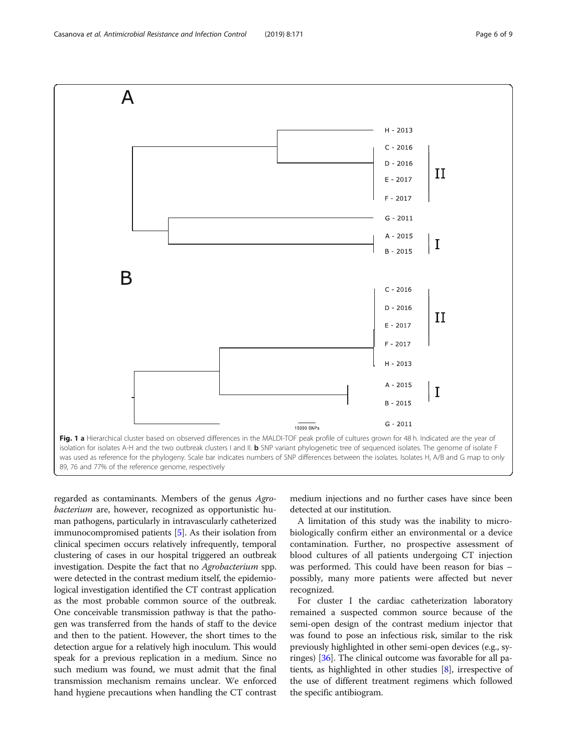<span id="page-5-0"></span>

regarded as contaminants. Members of the genus Agrobacterium are, however, recognized as opportunistic human pathogens, particularly in intravascularly catheterized immunocompromised patients [\[5\]](#page-7-0). As their isolation from clinical specimen occurs relatively infrequently, temporal clustering of cases in our hospital triggered an outbreak investigation. Despite the fact that no Agrobacterium spp. were detected in the contrast medium itself, the epidemiological investigation identified the CT contrast application as the most probable common source of the outbreak. One conceivable transmission pathway is that the pathogen was transferred from the hands of staff to the device and then to the patient. However, the short times to the detection argue for a relatively high inoculum. This would speak for a previous replication in a medium. Since no such medium was found, we must admit that the final transmission mechanism remains unclear. We enforced hand hygiene precautions when handling the CT contrast

medium injections and no further cases have since been detected at our institution.

A limitation of this study was the inability to microbiologically confirm either an environmental or a device contamination. Further, no prospective assessment of blood cultures of all patients undergoing CT injection was performed. This could have been reason for bias – possibly, many more patients were affected but never recognized.

For cluster I the cardiac catheterization laboratory remained a suspected common source because of the semi-open design of the contrast medium injector that was found to pose an infectious risk, similar to the risk previously highlighted in other semi-open devices (e.g., syringes) [[36](#page-8-0)]. The clinical outcome was favorable for all patients, as highlighted in other studies [[8](#page-7-0)], irrespective of the use of different treatment regimens which followed the specific antibiogram.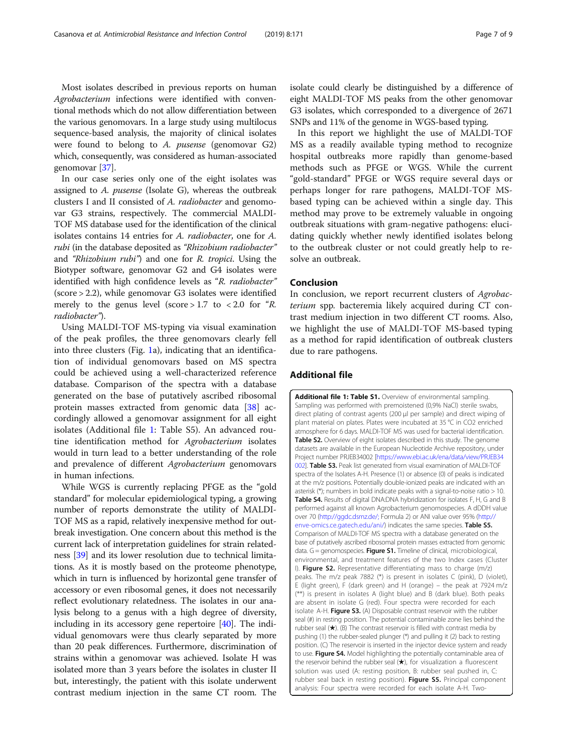<span id="page-6-0"></span>Most isolates described in previous reports on human Agrobacterium infections were identified with conventional methods which do not allow differentiation between the various genomovars. In a large study using multilocus sequence-based analysis, the majority of clinical isolates were found to belong to A. pusense (genomovar G2) which, consequently, was considered as human-associated genomovar [\[37\]](#page-8-0).

In our case series only one of the eight isolates was assigned to A. pusense (Isolate G), whereas the outbreak clusters I and II consisted of A. radiobacter and genomovar G3 strains, respectively. The commercial MALDI-TOF MS database used for the identification of the clinical isolates contains 14 entries for A. radiobacter, one for A. rubi (in the database deposited as "Rhizobium radiobacter" and "Rhizobium rubi") and one for R. tropici. Using the Biotyper software, genomovar G2 and G4 isolates were identified with high confidence levels as "R. radiobacter" (score > 2.2), while genomovar G3 isolates were identified merely to the genus level (score  $> 1.7$  to  $< 2.0$  for "R. radiobacter").

Using MALDI-TOF MS-typing via visual examination of the peak profiles, the three genomovars clearly fell into three clusters (Fig. [1a](#page-5-0)), indicating that an identification of individual genomovars based on MS spectra could be achieved using a well-characterized reference database. Comparison of the spectra with a database generated on the base of putatively ascribed ribosomal protein masses extracted from genomic data [[38\]](#page-8-0) accordingly allowed a genomovar assignment for all eight isolates (Additional file 1: Table S5). An advanced routine identification method for Agrobacterium isolates would in turn lead to a better understanding of the role and prevalence of different Agrobacterium genomovars in human infections.

While WGS is currently replacing PFGE as the "gold standard" for molecular epidemiological typing, a growing number of reports demonstrate the utility of MALDI-TOF MS as a rapid, relatively inexpensive method for outbreak investigation. One concern about this method is the current lack of interpretation guidelines for strain relatedness [\[39\]](#page-8-0) and its lower resolution due to technical limitations. As it is mostly based on the proteome phenotype, which in turn is influenced by horizontal gene transfer of accessory or even ribosomal genes, it does not necessarily reflect evolutionary relatedness. The isolates in our analysis belong to a genus with a high degree of diversity, including in its accessory gene repertoire [\[40\]](#page-8-0). The individual genomovars were thus clearly separated by more than 20 peak differences. Furthermore, discrimination of strains within a genomovar was achieved. Isolate H was isolated more than 3 years before the isolates in cluster II but, interestingly, the patient with this isolate underwent contrast medium injection in the same CT room. The

isolate could clearly be distinguished by a difference of eight MALDI-TOF MS peaks from the other genomovar G3 isolates, which corresponded to a divergence of 2671 SNPs and 11% of the genome in WGS-based typing.

In this report we highlight the use of MALDI-TOF MS as a readily available typing method to recognize hospital outbreaks more rapidly than genome-based methods such as PFGE or WGS. While the current "gold-standard" PFGE or WGS require several days or perhaps longer for rare pathogens, MALDI-TOF MSbased typing can be achieved within a single day. This method may prove to be extremely valuable in ongoing outbreak situations with gram-negative pathogens: elucidating quickly whether newly identified isolates belong to the outbreak cluster or not could greatly help to resolve an outbreak.

#### Conclusion

In conclusion, we report recurrent clusters of Agrobacterium spp. bacteremia likely acquired during CT contrast medium injection in two different CT rooms. Also, we highlight the use of MALDI-TOF MS-based typing as a method for rapid identification of outbreak clusters due to rare pathogens.

#### Additional file

Additional file 1: Table S1. Overview of environmental sampling. Sampling was performed with premoistened (0,9% NaCl) sterile swabs, direct plating of contrast agents (200 μl per sample) and direct wiping of plant material on plates. Plates were incubated at 35 °C in CO2 enriched atmosphere for 6 days. MALDI-TOF MS was used for bacterial identification. **Table S2.** Overview of eight isolates described in this study. The genome datasets are available in the European Nucleotide Archive repository, under Project number PRJEB34002 [[https://www.ebi.ac.uk/ena/data/view/PRJEB34](https://www.ebi.ac.uk/ena/data/view/PRJEB34002) [002](https://www.ebi.ac.uk/ena/data/view/PRJEB34002)]. Table S3. Peak list generated from visual examination of MALDI-TOF spectra of the Isolates A-H. Presence (1) or absence (0) of peaks is indicated at the m/z positions. Potentially double-ionized peaks are indicated with an asterisk (\*); numbers in bold indicate peaks with a signal-to-noise ratio > 10. Table S4. Results of digital DNA:DNA hybridization for isolates F, H, G and B performed against all known Agrobacterium genomospecies. A dDDH value over 70 (<http://ggdc.dsmz.de/;> Formula 2) or ANI value over 95% [\(http://](http://enve-omics.ce.gatech.edu/ani/) [enve-omics.ce.gatech.edu/ani/\)](http://enve-omics.ce.gatech.edu/ani/) indicates the same species. Table S5. Comparison of MALDI-TOF MS spectra with a database generated on the base of putatively ascribed ribosomal protein masses extracted from genomic data.  $G =$  genomospecies. Figure S1. Timeline of clinical, microbiological environmental, and treatment features of the two Index cases (Cluster I). Figure S2. Representative differentiating mass to charge (m/z) peaks. The m/z peak 7882 (\*) is present in isolates C (pink), D (violet), E (light green), F (dark green) and H (orange) – the peak at 7924 m/z (\*\*) is present in isolates A (light blue) and B (dark blue). Both peaks are absent in isolate G (red). Four spectra were recorded for each isolate A-H. Figure S3. (A) Disposable contrast reservoir with the rubber seal (#) in resting position. The potential contaminable zone lies behind the rubber seal (★). (B) The contrast reservoir is filled with contrast media by pushing (1) the rubber-sealed plunger (\*) and pulling it (2) back to resting position. (C) The reservoir is inserted in the injector device system and ready to use. Figure S4. Model highlighting the potentially contaminable area of the reservoir behind the rubber seal  $(\star)$ , for visualization a fluorescent solution was used (A: resting position, B: rubber seal pushed in, C: rubber seal back in resting position). Figure S5. Principal component analysis: Four spectra were recorded for each isolate A-H. Two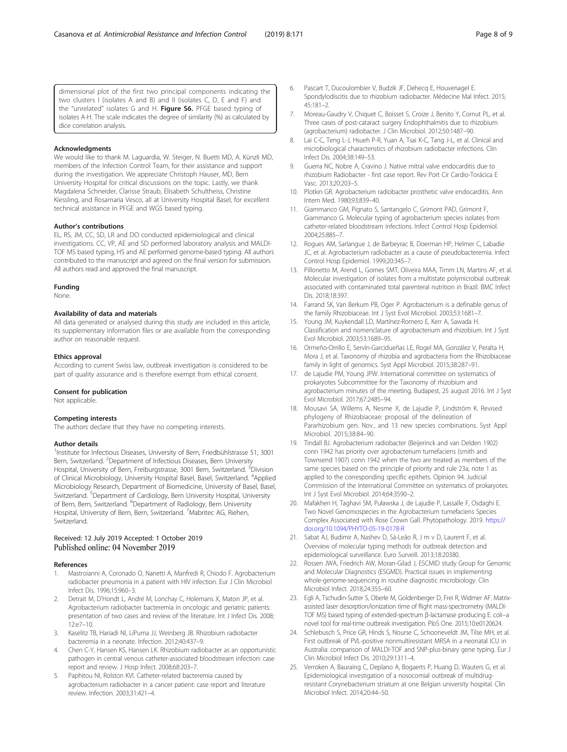<span id="page-7-0"></span>dimensional plot of the first two principal components indicating the two clusters I (isolates A and B) and II (isolates C, D, E and F) and the "unrelated" isolates G and H. Figure S6. PFGE based typing of isolates A-H. The scale indicates the degree of similarity (%) as calculated by dice correlation analysis.

#### Acknowledgments

We would like to thank M. Laguardia, W. Steiger, N. Buetti MD, A. Künzli MD, members of the Infection Control Team, for their assistance and support during the investigation. We appreciate Christoph Hauser, MD, Bern University Hospital for critical discussions on the topic. Lastly, we thank Magdalena Schneider, Clarisse Straub, Elisabeth Schultheiss, Christine Kiessling, and Rosamaria Vesco, all at University Hospital Basel, for excellent technical assistance in PFGE and WGS based typing.

#### Author's contributions

EL, RS, JM, CC, SD, LR and DO conducted epidemiological and clinical investigations. CC, VP, AE and SD performed laboratory analysis and MALDI-TOF MS based typing, HS and AE performed genome-based typing. All authors contributed to the manuscript and agreed on the final version for submission. All authors read and approved the final manuscript.

#### Funding

None.

#### Availability of data and materials

All data generated or analysed during this study are included in this article, its supplementary information files or are available from the corresponding author on reasonable request.

#### Ethics approval

According to current Swiss law, outbreak investigation is considered to be part of quality assurance and is therefore exempt from ethical consent.

#### Consent for publication

Not applicable.

#### Competing interests

The authors declare that they have no competing interests.

#### Author details

<sup>1</sup>Institute for Infectious Diseases, University of Bern, Friedbühlstrasse 51, 3001 Bern, Switzerland. <sup>2</sup>Department of Infectious Diseases, Bern University Hospital, University of Bern, Freiburgstrasse, 3001 Bern, Switzerland. <sup>3</sup>Division of Clinical Microbiology, University Hospital Basel, Basel, Switzerland. <sup>4</sup>Applied Microbiology Research, Department of Biomedicine, University of Basel, Basel, Switzerland. <sup>5</sup>Department of Cardiology, Bern University Hospital, University of Bern, Bern, Switzerland. <sup>6</sup>Department of Radiology, Bern University Hospital, University of Bern, Bern, Switzerland. <sup>7</sup>Mabritec AG, Riehen, Switzerland.

#### Received: 12 July 2019 Accepted: 1 October 2019 Published online: 04 November 2019

#### References

- 1. Mastroianni A, Coronado O, Nanetti A, Manfredi R, Chiodo F. Agrobacterium radiobacter pneumonia in a patient with HIV infection. Eur J Clin Microbiol Infect Dis. 1996;15:960–3.
- Detrait M, D'Hondt L, André M, Lonchay C, Holemans X, Maton JP, et al. Agrobacterium radiobacter bacteremia in oncologic and geriatric patients: presentation of two cases and review of the literature. Int J Infect Dis. 2008; 12:e7–10.
- 3. Kaselitz TB, Hariadi NI, LiPuma JJ, Weinberg JB. Rhizobium radiobacter bacteremia in a neonate. Infection. 2012;40:437–9.
- 4. Chen C-Y, Hansen KS, Hansen LK. Rhizobium radiobacter as an opportunistic pathogen in central venous catheter-associated bloodstream infection: case report and review. J Hosp Infect. 2008;68:203–7.
- Paphitou NI, Rolston KVI. Catheter-related bacteremia caused by agrobacterium radiobacter in a cancer patient: case report and literature review. Infection. 2003;31:421–4.
- 6. Pascart T, Ducoulombier V, Budzik JF, Dehecq E, Houvenagel E. Spondylodiscitis due to rhizobium radiobacter. Médecine Mal Infect. 2015; 45:181–2.
- 7. Moreau-Gaudry V, Chiquet C, Boisset S, Croize J, Benito Y, Cornut PL, et al. Three cases of post-cataract surgery Endophthalmitis due to rhizobium (agrobacterium) radiobacter. J Clin Microbiol. 2012;50:1487–90.
- 8. Lai C-C, Teng L-J, Hsueh P-R, Yuan A, Tsai K-C, Tang J-L, et al. Clinical and microbiological characteristics of rhizobium radiobacter infections. Clin Infect Dis. 2004;38:149–53.
- 9. Guerra NC, Nobre A, Cravino J. Native mitral valve endocarditis due to rhizobium Radiobacter - first case report. Rev Port Cir Cardio-Torácica E Vasc. 2013;20:203–5.
- 10. Plotkin GR. Agrobacterium radiobacter prosthetic valve endocarditis. Ann Intern Med. 1980;93:839–40.
- 11. Giammanco GM, Pignato S, Santangelo C, Grimont PAD, Grimont F, Giammanco G. Molecular typing of agrobacterium species isolates from catheter-related bloodstream infections. Infect Control Hosp Epidemiol. 2004;25:885–7.
- 12. Rogues AM, Sarlangue J, de Barbeyrac B, Doerman HP, Helmer C, Labadie JC, et al. Agrobacterium radiobacter as a cause of pseudobacteremia. Infect Control Hosp Epidemiol. 1999;20:345–7.
- 13. Pillonetto M, Arend L, Gomes SMT, Oliveira MAA, Timm LN, Martins AF, et al. Molecular investigation of isolates from a multistate polymicrobial outbreak associated with contaminated total parenteral nutrition in Brazil. BMC Infect Dis. 2018;18:397.
- 14. Farrand SK, Van Berkum PB, Oger P. Agrobacterium is a definable genus of the family Rhizobiaceae. Int J Syst Evol Microbiol. 2003;53:1681–7.
- 15. Young JM, Kuykendall LD, Martínez-Romero E, Kerr A, Sawada H. Classification and nomenclature of agrobacterium and rhizobium. Int J Syst Evol Microbiol. 2003;53:1689–95.
- 16. Ormeño-Orrillo E, Servín-Garcidueñas LE, Rogel MA, González V, Peralta H, Mora J, et al. Taxonomy of rhizobia and agrobacteria from the Rhizobiaceae family in light of genomics. Syst Appl Microbiol. 2015;38:287–91.
- 17. de Lajudie PM, Young JPW. International committee on systematics of prokaryotes Subcommittee for the Taxonomy of rhizobium and agrobacterium minutes of the meeting, Budapest, 25 august 2016. Int J Syst Evol Microbiol. 2017;67:2485–94.
- 18. Mousavi SA, Willems A, Nesme X, de Lajudie P, Lindström K. Revised phylogeny of Rhizobiaceae: proposal of the delineation of Pararhizobium gen. Nov., and 13 new species combinations. Syst Appl Microbiol. 2015;38:84–90.
- 19. Tindall BJ. Agrobacterium radiobacter (Beijerinck and van Delden 1902) conn 1942 has priority over agrobacterium tumefaciens (smith and Townsend 1907) conn 1942 when the two are treated as members of the same species based on the principle of priority and rule 23a, note 1 as applied to the corresponding specific epithets. Opinion 94. Judicial Commission of the International Committee on systematics of prokaryotes. Int J Syst Evol Microbiol. 2014;64:3590–2.
- 20. Mafakheri H, Taghavi SM, Puławska J, de Lajudie P, Lassalle F, Osdaghi E. Two Novel Genomospecies in the Agrobacterium tumefaciens Species Complex Associated with Rose Crown Gall. Phytopathology. 2019. [https://](https://doi.org/10.1094/PHYTO-05-19-0178-R) [doi.org/10.1094/PHYTO-05-19-0178-R](https://doi.org/10.1094/PHYTO-05-19-0178-R)
- 21. Sabat AJ, Budimir A, Nashev D, Sá-Leão R, J m v D, Laurent F, et al. Overview of molecular typing methods for outbreak detection and epidemiological surveillance. Euro Surveill. 2013;18:20380.
- 22. Rossen JWA, Friedrich AW, Moran-Gilad J, ESCMID study Group for Genomic and Molecular Diagnostics (ESGMD). Practical issues in implementing whole-genome-sequencing in routine diagnostic microbiology. Clin Microbiol Infect. 2018;24:355–60.
- 23. Egli A, Tschudin-Sutter S, Oberle M, Goldenberger D, Frei R, Widmer AF. Matrixassisted laser desorption/ionization time of flight mass-spectrometry (MALDI-TOF MS) based typing of extended-spectrum β-lactamase producing E. coli--a novel tool for real-time outbreak investigation. PloS One. 2015;10:e0120624.
- 24. Schlebusch S, Price GR, Hinds S, Nourse C, Schooneveldt JM, Tilse MH, et al. First outbreak of PVL-positive nonmultiresistant MRSA in a neonatal ICU in Australia: comparison of MALDI-TOF and SNP-plus-binary gene typing. Eur J Clin Microbiol Infect Dis. 2010;29:1311–4.
- 25. Verroken A, Bauraing C, Deplano A, Bogaerts P, Huang D, Wauters G, et al. Epidemiological investigation of a nosocomial outbreak of multidrugresistant Corynebacterium striatum at one Belgian university hospital. Clin Microbiol Infect. 2014;20:44–50.